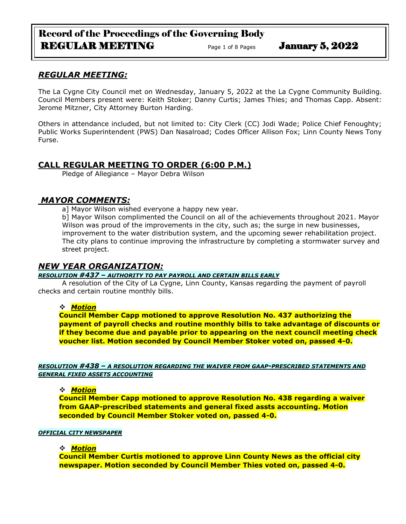# Record of the Proceedings of the Governing Body REGULAR MEETING Page 1 of 8 Pages January 5, 2022

# *REGULAR MEETING:*

The La Cygne City Council met on Wednesday, January 5, 2022 at the La Cygne Community Building. Council Members present were: Keith Stoker; Danny Curtis; James Thies; and Thomas Capp. Absent: Jerome Mitzner, City Attorney Burton Harding.

Others in attendance included, but not limited to: City Clerk (CC) Jodi Wade; Police Chief Fenoughty; Public Works Superintendent (PWS) Dan Nasalroad; Codes Officer Allison Fox; Linn County News Tony Furse.

# **CALL REGULAR MEETING TO ORDER (6:00 P.M.)**

Pledge of Allegiance – Mayor Debra Wilson

## *MAYOR COMMENTS:*

al Mavor Wilson wished everyone a happy new year.

b] Mayor Wilson complimented the Council on all of the achievements throughout 2021. Mayor Wilson was proud of the improvements in the city, such as; the surge in new businesses, improvement to the water distribution system, and the upcoming sewer rehabilitation project. The city plans to continue improving the infrastructure by completing a stormwater survey and street project.

## *NEW YEAR ORGANIZATION:*

*RESOLUTION #437 – AUTHORITY TO PAY PAYROLL AND CERTAIN BILLS EARLY*

A resolution of the City of La Cygne, Linn County, Kansas regarding the payment of payroll checks and certain routine monthly bills.

#### ❖ *Motion*

**Council Member Capp motioned to approve Resolution No. 437 authorizing the payment of payroll checks and routine monthly bills to take advantage of discounts or if they become due and payable prior to appearing on the next council meeting check voucher list. Motion seconded by Council Member Stoker voted on, passed 4-0.**

*RESOLUTION #438 – A RESOLUTION REGARDING THE WAIVER FROM GAAP-PRESCRIBED STATEMENTS AND GENERAL FIXED ASSETS ACCOUNTING*

#### ❖ *Motion*

**Council Member Capp motioned to approve Resolution No. 438 regarding a waiver from GAAP-prescribed statements and general fixed assts accounting. Motion seconded by Council Member Stoker voted on, passed 4-0.**

#### *OFFICIAL CITY NEWSPAPER*

#### ❖ *Motion*

**Council Member Curtis motioned to approve Linn County News as the official city newspaper. Motion seconded by Council Member Thies voted on, passed 4-0.**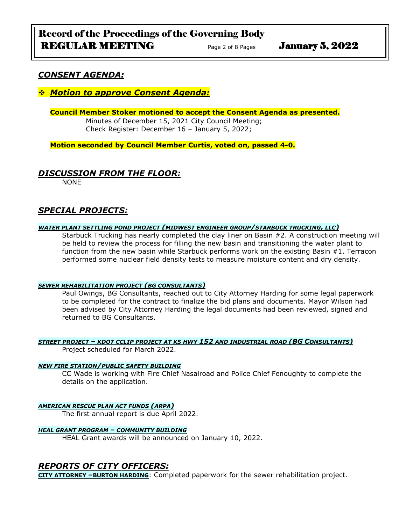## *CONSENT AGENDA:*

### ❖ *Motion to approve Consent Agenda:*

### **Council Member Stoker motioned to accept the Consent Agenda as presented.**

Minutes of December 15, 2021 City Council Meeting; Check Register: December 16 – January 5, 2022;

**Motion seconded by Council Member Curtis, voted on, passed 4-0.** 

### *DISCUSSION FROM THE FLOOR:*

NONE

## *SPECIAL PROJECTS:*

#### *WATER PLANT SETTLING POND PROJECT (MIDWEST ENGINEER GROUP/STARBUCK TRUCKING, LLC)*

Starbuck Trucking has nearly completed the clay liner on Basin #2. A construction meeting will be held to review the process for filling the new basin and transitioning the water plant to function from the new basin while Starbuck performs work on the existing Basin #1. Terracon performed some nuclear field density tests to measure moisture content and dry density.

#### *SEWER REHABILITATION PROJECT (BG CONSULTANTS)*

Paul Owings, BG Consultants, reached out to City Attorney Harding for some legal paperwork to be completed for the contract to finalize the bid plans and documents. Mayor Wilson had been advised by City Attorney Harding the legal documents had been reviewed, signed and returned to BG Consultants.

#### *STREET PROJECT – KDOT CCLIP PROJECT AT KS HWY 152 AND INDUSTRIAL ROAD (BG CONSULTANTS)* Project scheduled for March 2022.

#### *NEW FIRE STATION/PUBLIC SAFETY BUILDING*

CC Wade is working with Fire Chief Nasalroad and Police Chief Fenoughty to complete the details on the application.

#### *AMERICAN RESCUE PLAN ACT FUNDS (ARPA)*

The first annual report is due April 2022.

#### *HEAL GRANT PROGRAM – COMMUNITY BUILDING*

HEAL Grant awards will be announced on January 10, 2022.

### *REPORTS OF CITY OFFICERS:*

**CITY ATTORNEY –BURTON HARDING**: Completed paperwork for the sewer rehabilitation project.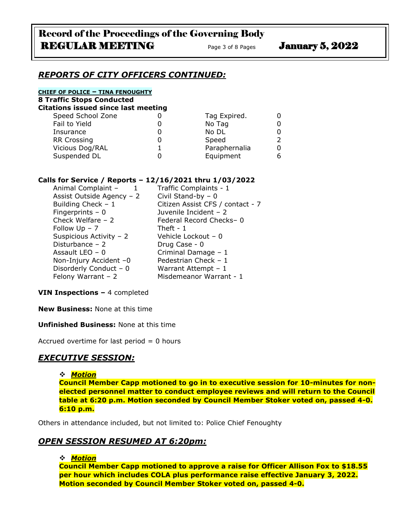### *REPORTS OF CITY OFFICERS CONTINUED:*

#### **CHIEF OF POLICE – TINA FENOUGHTY**

**8 Traffic Stops Conducted**

| <b>Citations issued since last meeting</b> |  |               |  |
|--------------------------------------------|--|---------------|--|
| Speed School Zone                          |  | Tag Expired.  |  |
| Fail to Yield                              |  | No Tag        |  |
| Insurance                                  |  | No DL         |  |
| <b>RR Crossing</b>                         |  | Speed         |  |
| Vicious Dog/RAL                            |  | Paraphernalia |  |
| Suspended DL                               |  | Equipment     |  |

#### **Calls for Service / Reports – 12/16/2021 thru 1/03/2022**

| Animal Complaint -        | Traffic Complaints - 1           |
|---------------------------|----------------------------------|
| Assist Outside Agency - 2 | Civil Stand-by $-0$              |
| Building Check - 1        | Citizen Assist CFS / contact - 7 |
| Fingerprints $-0$         | Juvenile Incident - 2            |
| Check Welfare $-2$        | Federal Record Checks-0          |
| Follow $Up - 7$           | Theft - $1$                      |
| Suspicious Activity - 2   | Vehicle Lockout - 0              |
| Disturbance $-2$          | Drug Case - 0                    |
| Assault LEO $-0$          | Criminal Damage - 1              |
| Non-Injury Accident -0    | Pedestrian Check - 1             |
| Disorderly Conduct - 0    | Warrant Attempt - 1              |
| Felony Warrant $-2$       | Misdemeanor Warrant - 1          |

#### **VIN Inspections –** 4 completed

**New Business:** None at this time

#### **Unfinished Business:** None at this time

Accrued overtime for last period  $= 0$  hours

# *EXECUTIVE SESSION:*

#### ❖ *Motion*

**Council Member Capp motioned to go in to executive session for 10-minutes for nonelected personnel matter to conduct employee reviews and will return to the Council table at 6:20 p.m. Motion seconded by Council Member Stoker voted on, passed 4-0. 6:10 p.m.**

Others in attendance included, but not limited to: Police Chief Fenoughty

### *OPEN SESSION RESUMED AT 6:20pm:*

#### ❖ *Motion*

**Council Member Capp motioned to approve a raise for Officer Allison Fox to \$18.55 per hour which includes COLA plus performance raise effective January 3, 2022. Motion seconded by Council Member Stoker voted on, passed 4-0.**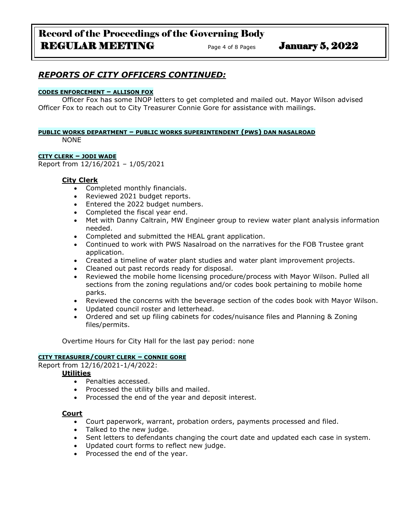# Record of the Proceedings of the Governing Body REGULAR MEETING Page 4 of 8 Pages January 5, 2022

# *REPORTS OF CITY OFFICERS CONTINUED:*

#### **CODES ENFORCEMENT – ALLISON FOX**

Officer Fox has some INOP letters to get completed and mailed out. Mayor Wilson advised Officer Fox to reach out to City Treasurer Connie Gore for assistance with mailings.

# **PUBLIC WORKS DEPARTMENT – PUBLIC WORKS SUPERINTENDENT (PWS) DAN NASALROAD**

NONE

### **CITY CLERK – JODI WADE**

Report from 12/16/2021 – 1/05/2021

### **City Clerk**

- Completed monthly financials.
- Reviewed 2021 budget reports.
- Entered the 2022 budget numbers.
- Completed the fiscal year end.
- Met with Danny Caltrain, MW Engineer group to review water plant analysis information needed.
- Completed and submitted the HEAL grant application.
- Continued to work with PWS Nasalroad on the narratives for the FOB Trustee grant application.
- Created a timeline of water plant studies and water plant improvement projects.
- Cleaned out past records ready for disposal.
- Reviewed the mobile home licensing procedure/process with Mayor Wilson. Pulled all sections from the zoning regulations and/or codes book pertaining to mobile home parks.
- Reviewed the concerns with the beverage section of the codes book with Mayor Wilson.
- Updated council roster and letterhead.
- Ordered and set up filing cabinets for codes/nuisance files and Planning & Zoning files/permits.

Overtime Hours for City Hall for the last pay period: none

#### **CITY TREASURER/COURT CLERK – CONNIE GORE**

Report from 12/16/2021-1/4/2022:

**Utilities**

- Penalties accessed.
- Processed the utility bills and mailed.
- Processed the end of the year and deposit interest.

#### **Court**

- Court paperwork, warrant, probation orders, payments processed and filed.
- Talked to the new judge.
- Sent letters to defendants changing the court date and updated each case in system.
- Updated court forms to reflect new judge.
- Processed the end of the year.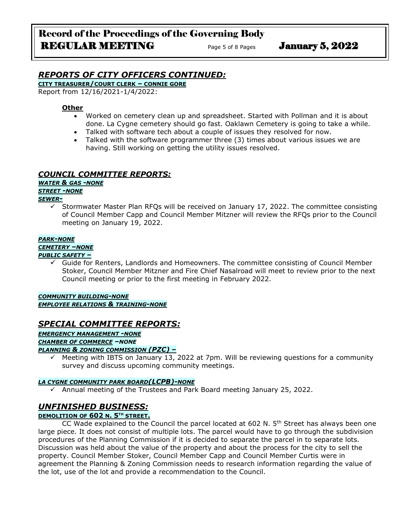# *REPORTS OF CITY OFFICERS CONTINUED:*

**CITY TREASURER/COURT CLERK – CONNIE GORE**

Report from 12/16/2021-1/4/2022:

#### **Other**

- Worked on cemetery clean up and spreadsheet. Started with Pollman and it is about done. La Cygne cemetery should go fast. Oaklawn Cemetery is going to take a while.
- Talked with software tech about a couple of issues they resolved for now.
- Talked with the software programmer three (3) times about various issues we are having. Still working on getting the utility issues resolved.

### *COUNCIL COMMITTEE REPORTS:*

*WATER & GAS -NONE*

#### *STREET -NONE*

#### *SEWER-*

Stormwater Master Plan RFQs will be received on January 17, 2022. The committee consisting of Council Member Capp and Council Member Mitzner will review the RFQs prior to the Council meeting on January 19, 2022.

#### *PARK-NONE*

*CEMETERY –NONE*

#### *PUBLIC SAFETY –*

 $\checkmark$  Guide for Renters, Landlords and Homeowners. The committee consisting of Council Member Stoker, Council Member Mitzner and Fire Chief Nasalroad will meet to review prior to the next Council meeting or prior to the first meeting in February 2022.

#### *COMMUNITY BUILDING-NONE EMPLOYEE RELATIONS & TRAINING-NONE*

## *SPECIAL COMMITTEE REPORTS:*

*EMERGENCY MANAGEMENT -NONE CHAMBER OF COMMERCE –NONE PLANNING & ZONING COMMISSION (PZC) –*

Meeting with IBTS on January 13, 2022 at 7pm. Will be reviewing questions for a community survey and discuss upcoming community meetings.

#### *LA CYGNE COMMUNITY PARK BOARD(LCPB)-NONE*

✓ Annual meeting of the Trustees and Park Board meeting January 25, 2022.

# *UNFINISHED BUSINESS:*

### **DEMOLITION OF 602 N. 5TH STREET.**

CC Wade explained to the Council the parcel located at 602 N.  $5<sup>th</sup>$  Street has always been one large piece. It does not consist of multiple lots. The parcel would have to go through the subdivision procedures of the Planning Commission if it is decided to separate the parcel in to separate lots. Discussion was held about the value of the property and about the process for the city to sell the property. Council Member Stoker, Council Member Capp and Council Member Curtis were in agreement the Planning & Zoning Commission needs to research information regarding the value of the lot, use of the lot and provide a recommendation to the Council.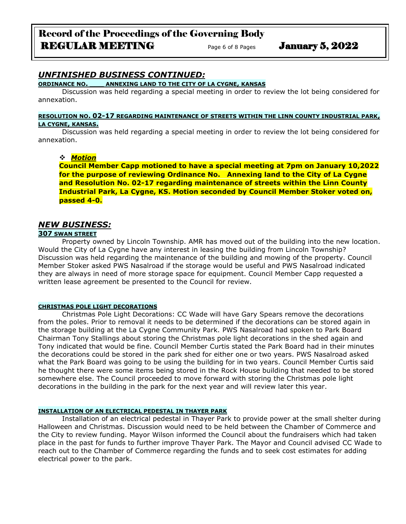# *UNFINISHED BUSINESS CONTINUED:*

#### **ORDINANCE NO. \_\_\_ ANNEXING LAND TO THE CITY OF LA CYGNE, KANSAS**

Discussion was held regarding a special meeting in order to review the lot being considered for annexation.

#### **RESOLUTION NO. 02-17 REGARDING MAINTENANCE OF STREETS WITHIN THE LINN COUNTY INDUSTRIAL PARK, LA CYGNE, KANSAS.**

Discussion was held regarding a special meeting in order to review the lot being considered for annexation.

### ❖ *Motion*

**Council Member Capp motioned to have a special meeting at 7pm on January 10,2022 for the purpose of reviewing Ordinance No. Annexing land to the City of La Cygne and Resolution No. 02-17 regarding maintenance of streets within the Linn County Industrial Park, La Cygne, KS. Motion seconded by Council Member Stoker voted on, passed 4-0.**

### *NEW BUSINESS:*

#### **307 SWAN STREET**

Property owned by Lincoln Township. AMR has moved out of the building into the new location. Would the City of La Cygne have any interest in leasing the building from Lincoln Township? Discussion was held regarding the maintenance of the building and mowing of the property. Council Member Stoker asked PWS Nasalroad if the storage would be useful and PWS Nasalroad indicated they are always in need of more storage space for equipment. Council Member Capp requested a written lease agreement be presented to the Council for review.

#### **CHRISTMAS POLE LIGHT DECORATIONS**

Christmas Pole Light Decorations: CC Wade will have Gary Spears remove the decorations from the poles. Prior to removal it needs to be determined if the decorations can be stored again in the storage building at the La Cygne Community Park. PWS Nasalroad had spoken to Park Board Chairman Tony Stallings about storing the Christmas pole light decorations in the shed again and Tony indicated that would be fine. Council Member Curtis stated the Park Board had in their minutes the decorations could be stored in the park shed for either one or two years. PWS Nasalroad asked what the Park Board was going to be using the building for in two years. Council Member Curtis said he thought there were some items being stored in the Rock House building that needed to be stored somewhere else. The Council proceeded to move forward with storing the Christmas pole light decorations in the building in the park for the next year and will review later this year.

#### **INSTALLATION OF AN ELECTRICAL PEDESTAL IN THAYER PARK**

Installation of an electrical pedestal in Thayer Park to provide power at the small shelter during Halloween and Christmas. Discussion would need to be held between the Chamber of Commerce and the City to review funding. Mayor Wilson informed the Council about the fundraisers which had taken place in the past for funds to further improve Thayer Park. The Mayor and Council advised CC Wade to reach out to the Chamber of Commerce regarding the funds and to seek cost estimates for adding electrical power to the park.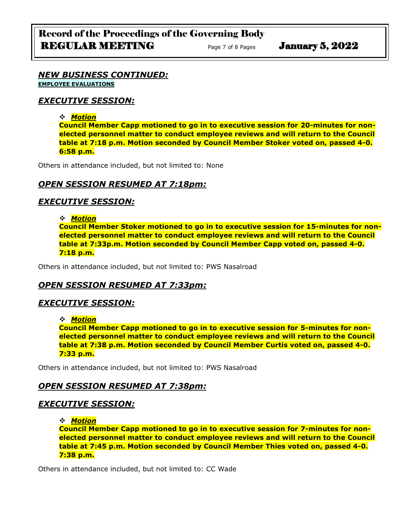#### *NEW BUSINESS CONTINUED:* **EMPLOYEE EVALUATIONS**

## *EXECUTIVE SESSION:*

### ❖ *Motion*

**Council Member Capp motioned to go in to executive session for 20-minutes for nonelected personnel matter to conduct employee reviews and will return to the Council table at 7:18 p.m. Motion seconded by Council Member Stoker voted on, passed 4-0. 6:58 p.m.**

Others in attendance included, but not limited to: None

# *OPEN SESSION RESUMED AT 7:18pm:*

# *EXECUTIVE SESSION:*

### ❖ *Motion*

**Council Member Stoker motioned to go in to executive session for 15-minutes for nonelected personnel matter to conduct employee reviews and will return to the Council table at 7:33p.m. Motion seconded by Council Member Capp voted on, passed 4-0. 7:18 p.m.**

Others in attendance included, but not limited to: PWS Nasalroad

# *OPEN SESSION RESUMED AT 7:33pm:*

# *EXECUTIVE SESSION:*

### ❖ *Motion*

**Council Member Capp motioned to go in to executive session for 5-minutes for nonelected personnel matter to conduct employee reviews and will return to the Council table at 7:38 p.m. Motion seconded by Council Member Curtis voted on, passed 4-0. 7:33 p.m.**

Others in attendance included, but not limited to: PWS Nasalroad

# *OPEN SESSION RESUMED AT 7:38pm:*

## *EXECUTIVE SESSION:*

❖ *Motion* 

**Council Member Capp motioned to go in to executive session for 7-minutes for nonelected personnel matter to conduct employee reviews and will return to the Council table at 7:45 p.m. Motion seconded by Council Member Thies voted on, passed 4-0. 7:38 p.m.**

Others in attendance included, but not limited to: CC Wade